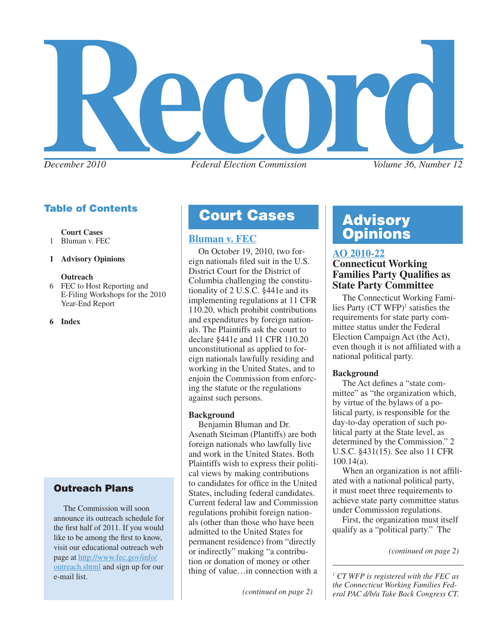

# Table of Contents

 **Court Cases**

- 1 Bluman v. FEC
- **1 Advisory Opinions**

#### **Outreach**

6 FEC to Host Reporting and E-Filing Workshops for the 2010 Year-End Report

**6 Index**

#### Outreach Plans

 $\frac{\text{out+2}}{\text{in+2}}$  and sign up for our thing of value... in connection with a  $\frac{1}{\sqrt{1-\frac{1}{n}}}$  The Commission will soon announce its outreach schedule for the first half of 2011. If you would like to be among the first to know, visit our educational outreach web page at [http://www.fec.gov/info/](http://www.fec.gov/info/outreach.shtml) [outreach.shtml](http://www.fec.gov/info/outreach.shtml) and sign up for our

# **Court Cases | Advisory**

On October 19, 2010, two foreign nationals filed suit in the U.S. District Court for the District of Columbia challenging the constitutionality of 2 U.S.C. §441e and its implementing regulations at 11 CFR 110.20, which prohibit contributions and expenditures by foreign nationals. The Plaintiffs ask the court to declare §441e and 11 CFR 110.20 unconstitutional as applied to foreign nationals lawfully residing and working in the United States, and to enjoin the Commission from enforcing the statute or the regulations against such persons.

#### **Background**

Benjamin Bluman and Dr. Asenath Steiman (Plantiffs) are both foreign nationals who lawfully live and work in the United States. Both Plaintiffs wish to express their political views by making contributions to candidates for office in the United States, including federal candidates. Current federal law and Commission regulations prohibit foreign nationals (other than those who have been admitted to the United States for permanent residence) from "directly or indirectly" making "a contribution or donation of money or other

*(continued on page 2)*

# **[Bluman v. FEC](http://www.fec.gov/law/litigation/Bluman_Bluman_Complaint_Filed.pdf) Opinions**

# **[AO 2010-22](http://saos.fec.gov/aodocs/AO%202010-22.pdf)**

#### **Connecticut Working Families Party Qualifies as State Party Committee**

The Connecticut Working Families Party  $(CT WFP)^1$  satisfies the requirements for state party committee status under the Federal Election Campaign Act (the Act), even though it is not affiliated with a national political party.

#### **Background**

The Act defines a "state committee" as "the organization which, by virtue of the bylaws of a political party, is responsible for the day-to-day operation of such political party at the State level, as determined by the Commission." 2 U.S.C. §431(15). See also 11 CFR 100.14(a).

When an organization is not affiliated with a national political party, it must meet three requirements to achieve state party committee status under Commission regulations.

First, the organization must itself qualify as a "political party." The

 *CT WFP is registered with the FEC as the Connecticut Working Families Federal PAC d/b/a Take Back Congress CT.*

*<sup>(</sup>continued on page 2)*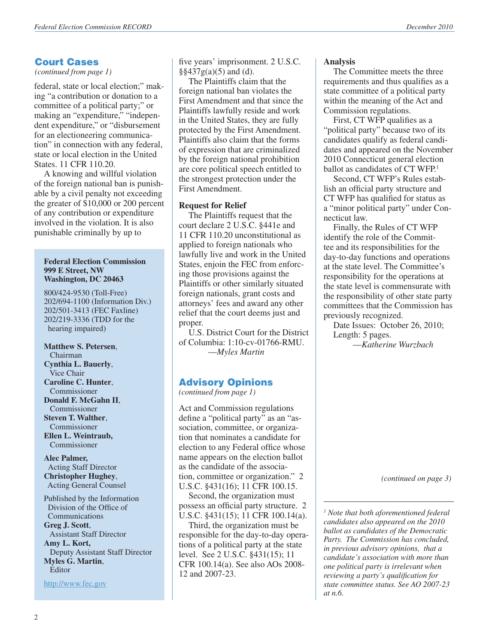#### Court Cases

*(continued from page 1)*

federal, state or local election;" making "a contribution or donation to a committee of a political party;" or making an "expenditure," "independent expenditure," or "disbursement for an electioneering communication" in connection with any federal, state or local election in the United States. 11 CFR 110.20.

A knowing and willful violation of the foreign national ban is punishable by a civil penalty not exceeding the greater of \$10,000 or 200 percent of any contribution or expenditure involved in the violation. It is also punishable criminally by up to

#### **Federal Election Commission 999 E Street, NW Washington, DC 20463**

800/424-9530 (Toll-Free) 202/694-1100 (Information Div.) 202/501-3413 (FEC Faxline) 202/219-3336 (TDD for the hearing impaired)

**Matthew S. Petersen**, Chairman **Cynthia L. Bauerly**, Vice Chair **Caroline C. Hunter**, **Commissioner Donald F. McGahn II**, Commissioner **Steven T. Walther**, Commissioner **Ellen L. Weintraub, Commissioner** 

**Alec Palmer,** Acting Staff Director **Christopher Hughey**, Acting General Counsel

Published by the Information Division of the Office of Communications **Greg J. Scott**, Assistant Staff Director **Amy L. Kort,** Deputy Assistant Staff Director **Myles G. Martin**, Editor

<http://www.fec.gov>

five years' imprisonment. 2 U.S.C.  $\S$ §437g(a)(5) and (d).

The Plaintiffs claim that the foreign national ban violates the First Amendment and that since the Plaintiffs lawfully reside and work in the United States, they are fully protected by the First Amendment. Plaintiffs also claim that the forms of expression that are criminalized by the foreign national prohibition are core political speech entitled to the strongest protection under the First Amendment.

#### **Request for Relief**

The Plaintiffs request that the court declare 2 U.S.C. §441e and 11 CFR 110.20 unconstitutional as applied to foreign nationals who lawfully live and work in the United States, enjoin the FEC from enforcing those provisions against the Plaintiffs or other similarly situated foreign nationals, grant costs and attorneys' fees and award any other relief that the court deems just and proper.

U.S. District Court for the District of Columbia: 1:10-cv-01766-RMU. —*Myles Martin*

#### Advisory Opinions

*(continued from page 1)*

Act and Commission regulations define a "political party" as an "association, committee, or organization that nominates a candidate for election to any Federal office whose name appears on the election ballot as the candidate of the association, committee or organization." 2 U.S.C. §431(16); 11 CFR 100.15.

Second, the organization must possess an official party structure. 2 U.S.C. §431(15); 11 CFR 100.14(a).

Third, the organization must be responsible for the day-to-day operations of a political party at the state level. See 2 U.S.C. §431(15); 11 CFR 100.14(a). See also AOs 2008- 12 and 2007-23.

#### **Analysis**

The Committee meets the three requirements and thus qualifies as a state committee of a political party within the meaning of the Act and Commission regulations.

First, CT WFP qualifies as a "political party" because two of its candidates qualify as federal candidates and appeared on the November 2010 Connecticut general election ballot as candidates of CT WFP.<sup>1</sup>

Second, CT WFP's Rules establish an official party structure and CT WFP has qualified for status as a "minor political party" under Connecticut law.

Finally, the Rules of CT WFP identify the role of the Committee and its responsibilities for the day-to-day functions and operations at the state level. The Committee's responsibility for the operations at the state level is commensurate with the responsibility of other state party committees that the Commission has previously recognized.

Date Issues: October 26, 2010; Length: 5 pages.

—*Katherine Wurzbach*

*(continued on page 3)*

*1 Note that both aforementioned federal candidates also appeared on the 2010 ballot as candidates of the Democratic Party. The Commission has concluded, in previous advisory opinions, that a candidate's association with more than one political party is irrelevant when reviewing a party's qualification for state committee status. See AO 2007-23 at n.6.*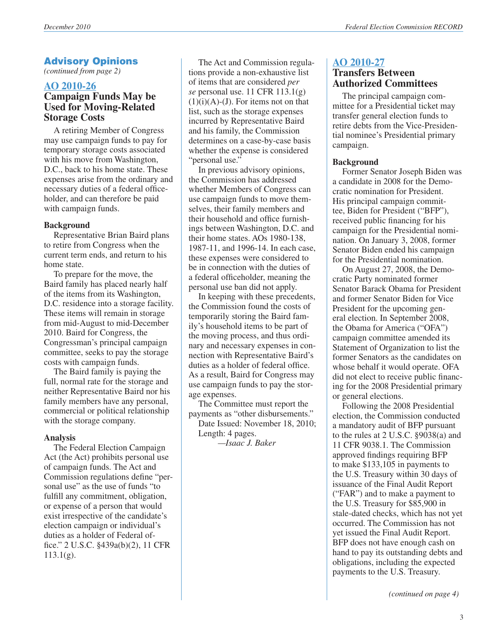#### Advisory Opinions

*(continued from page 2)*

#### **[AO 2010-26](http://saos.fec.gov/aodocs/AO%202010-26.pdf) Campaign Funds May be Used for Moving-Related Storage Costs**

A retiring Member of Congress may use campaign funds to pay for temporary storage costs associated with his move from Washington, D.C., back to his home state. These expenses arise from the ordinary and necessary duties of a federal officeholder, and can therefore be paid with campaign funds.

#### **Background**

Representative Brian Baird plans to retire from Congress when the current term ends, and return to his home state.

To prepare for the move, the Baird family has placed nearly half of the items from its Washington, D.C. residence into a storage facility. These items will remain in storage from mid-August to mid-December 2010. Baird for Congress, the Congressman's principal campaign committee, seeks to pay the storage costs with campaign funds.

The Baird family is paying the full, normal rate for the storage and neither Representative Baird nor his family members have any personal, commercial or political relationship with the storage company.

#### **Analysis**

The Federal Election Campaign Act (the Act) prohibits personal use of campaign funds. The Act and Commission regulations define "personal use" as the use of funds "to" fulfill any commitment, obligation, or expense of a person that would exist irrespective of the candidate's election campaign or individual's duties as a holder of Federal office." 2 U.S.C. §439a(b)(2), 11 CFR  $113.1(g)$ .

The Act and Commission regulations provide a non-exhaustive list of items that are considered *per se* personal use. 11 CFR 113.1(g)  $(1)(i)(A)-(J)$ . For items not on that list, such as the storage expenses incurred by Representative Baird and his family, the Commission determines on a case-by-case basis whether the expense is considered "personal use."

In previous advisory opinions, the Commission has addressed whether Members of Congress can use campaign funds to move themselves, their family members and their household and office furnishings between Washington, D.C. and their home states. AOs 1980-138, 1987-11, and 1996-14. In each case, these expenses were considered to be in connection with the duties of a federal officeholder, meaning the personal use ban did not apply.

In keeping with these precedents, the Commission found the costs of temporarily storing the Baird family's household items to be part of the moving process, and thus ordinary and necessary expenses in connection with Representative Baird's duties as a holder of federal office. As a result, Baird for Congress may use campaign funds to pay the storage expenses.

The Committee must report the payments as "other disbursements."

Date Issued: November 18, 2010; Length: 4 pages.

*—Isaac J. Baker*

#### **[AO 2010-27](http://saos.fec.gov/aodocs/AO%202010-27.pdf) Transfers Between Authorized Committees**

The principal campaign committee for a Presidential ticket may transfer general election funds to retire debts from the Vice-Presidential nominee's Presidential primary campaign.

#### **Background**

Former Senator Joseph Biden was a candidate in 2008 for the Democratic nomination for President. His principal campaign committee, Biden for President ("BFP"), received public financing for his campaign for the Presidential nomination. On January 3, 2008, former Senator Biden ended his campaign for the Presidential nomination.

On August 27, 2008, the Democratic Party nominated former Senator Barack Obama for President and former Senator Biden for Vice President for the upcoming general election. In September 2008, the Obama for America ("OFA") campaign committee amended its Statement of Organization to list the former Senators as the candidates on whose behalf it would operate. OFA did not elect to receive public financing for the 2008 Presidential primary or general elections.

Following the 2008 Presidential election, the Commission conducted a mandatory audit of BFP pursuant to the rules at 2 U.S.C. §9038(a) and 11 CFR 9038.1. The Commission approved findings requiring BFP to make \$133,105 in payments to the U.S. Treasury within 30 days of issuance of the Final Audit Report ("FAR") and to make a payment to the U.S. Treasury for \$85,900 in stale-dated checks, which has not yet occurred. The Commission has not yet issued the Final Audit Report. BFP does not have enough cash on hand to pay its outstanding debts and obligations, including the expected payments to the U.S. Treasury.

*(continued on page 4)*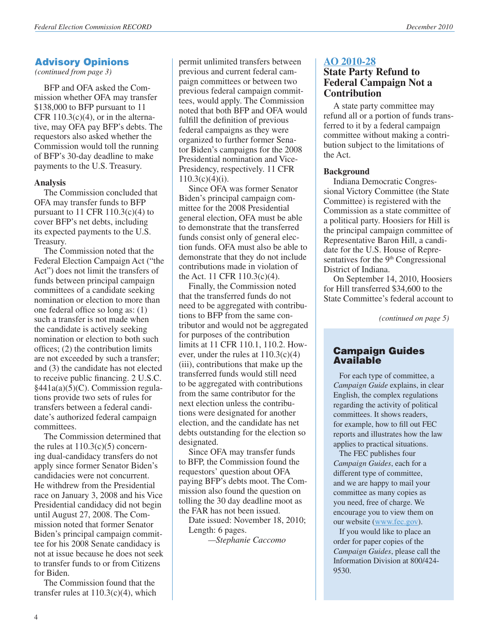#### Advisory Opinions

*(continued from page 3)*

BFP and OFA asked the Commission whether OFA may transfer \$138,000 to BFP pursuant to 11 CFR  $110.3(c)(4)$ , or in the alternative, may OFA pay BFP's debts. The requestors also asked whether the Commission would toll the running of BFP's 30-day deadline to make payments to the U.S. Treasury.

#### **Analysis**

The Commission concluded that OFA may transfer funds to BFP pursuant to 11 CFR 110.3(c)(4) to cover BFP's net debts, including its expected payments to the U.S. Treasury.

The Commission noted that the Federal Election Campaign Act ("the Act") does not limit the transfers of funds between principal campaign committees of a candidate seeking nomination or election to more than one federal office so long as: (1) such a transfer is not made when the candidate is actively seeking nomination or election to both such offices; (2) the contribution limits are not exceeded by such a transfer; and (3) the candidate has not elected to receive public financing. 2 U.S.C. §441a(a)(5)(C). Commission regulations provide two sets of rules for transfers between a federal candidate's authorized federal campaign committees.

The Commission determined that the rules at  $110.3(c)(5)$  concerning dual-candidacy transfers do not apply since former Senator Biden's candidacies were not concurrent. He withdrew from the Presidential race on January 3, 2008 and his Vice Presidential candidacy did not begin until August 27, 2008. The Commission noted that former Senator Biden's principal campaign committee for his 2008 Senate candidacy is not at issue because he does not seek to transfer funds to or from Citizens for Biden.

The Commission found that the transfer rules at  $110.3(c)(4)$ , which

permit unlimited transfers between previous and current federal campaign committees or between two previous federal campaign committees, would apply. The Commission noted that both BFP and OFA would fulfill the definition of previous federal campaigns as they were organized to further former Senator Biden's campaigns for the 2008 Presidential nomination and Vice-Presidency, respectively. 11 CFR  $110.3(c)(4)(i)$ .

Since OFA was former Senator Biden's principal campaign committee for the 2008 Presidential general election, OFA must be able to demonstrate that the transferred funds consist only of general election funds. OFA must also be able to demonstrate that they do not include contributions made in violation of the Act. 11 CFR 110.3(c)(4).

Finally, the Commission noted that the transferred funds do not need to be aggregated with contributions to BFP from the same contributor and would not be aggregated for purposes of the contribution limits at 11 CFR 110.1, 110.2. However, under the rules at 110.3(c)(4) (iii), contributions that make up the transferred funds would still need to be aggregated with contributions from the same contributor for the next election unless the contributions were designated for another election, and the candidate has net debts outstanding for the election so designated.

Since OFA may transfer funds to BFP, the Commission found the requestors' question about OFA paying BFP's debts moot. The Commission also found the question on tolling the 30 day deadline moot as the FAR has not been issued.

Date issued: November 18, 2010; Length: 6 pages.

*—Stephanie Caccomo*

#### **[AO 2010-28](http://saos.fec.gov/aodocs/AO%202010-28.pdf)**

#### **State Party Refund to Federal Campaign Not a Contribution**

A state party committee may refund all or a portion of funds transferred to it by a federal campaign committee without making a contribution subject to the limitations of the Act.

#### **Background**

Indiana Democratic Congressional Victory Committee (the State Committee) is registered with the Commission as a state committee of a political party. Hoosiers for Hill is the principal campaign committee of Representative Baron Hill, a candidate for the U.S. House of Representatives for the 9<sup>th</sup> Congressional District of Indiana.

On September 14, 2010, Hoosiers for Hill transferred \$34,600 to the State Committee's federal account to

*(continued on page 5)*

#### Campaign Guides Available

 For each type of committee, a *Campaign Guide* explains, in clear English, the complex regulations regarding the activity of political committees. It shows readers, for example, how to fill out FEC reports and illustrates how the law applies to practical situations.

 The FEC publishes four *Campaign Guides*, each for a different type of committee, and we are happy to mail your committee as many copies as you need, free of charge. We encourage you to view them on our website [\(www.fec.gov](www.fec.gov)).

 If you would like to place an order for paper copies of the *Campaign Guides*, please call the Information Division at 800/424- 9530.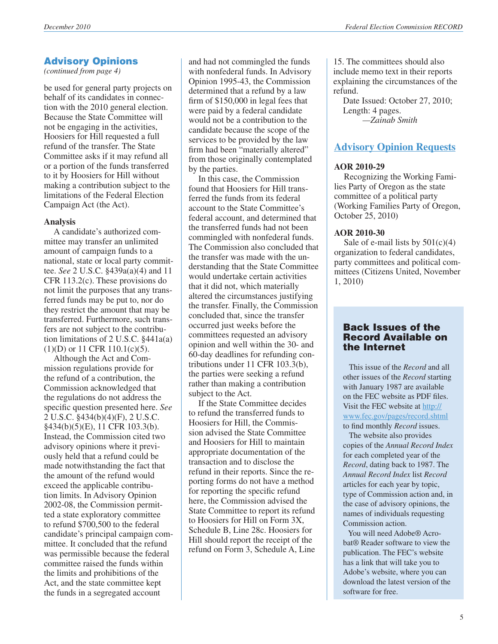#### Advisory Opinions

*(continued from page 4)*

be used for general party projects on behalf of its candidates in connection with the 2010 general election. Because the State Committee will not be engaging in the activities, Hoosiers for Hill requested a full refund of the transfer. The State Committee asks if it may refund all or a portion of the funds transferred to it by Hoosiers for Hill without making a contribution subject to the limitations of the Federal Election Campaign Act (the Act).

#### **Analysis**

A candidate's authorized committee may transfer an unlimited amount of campaign funds to a national, state or local party committee. *See* 2 U.S.C. §439a(a)(4) and 11 CFR 113.2(c). These provisions do not limit the purposes that any transferred funds may be put to, nor do they restrict the amount that may be transferred. Furthermore, such transfers are not subject to the contribution limitations of 2 U.S.C. §441a(a)  $(1)(D)$  or 11 CFR 110.1(c)(5).

Although the Act and Commission regulations provide for the refund of a contribution, the Commission acknowledged that the regulations do not address the specific question presented here. *See*  2 U.S.C. §434(b)(4)(F), 2 U.S.C. §434(b)(5)(E), 11 CFR 103.3(b). Instead, the Commission cited two advisory opinions where it previously held that a refund could be made notwithstanding the fact that the amount of the refund would exceed the applicable contribution limits. In Advisory Opinion 2002-08, the Commission permitted a state exploratory committee to refund \$700,500 to the federal candidate's principal campaign committee. It concluded that the refund was permissible because the federal committee raised the funds within the limits and prohibitions of the Act, and the state committee kept the funds in a segregated account

and had not commingled the funds with nonfederal funds. In Advisory Opinion 1995-43, the Commission determined that a refund by a law firm of \$150,000 in legal fees that were paid by a federal candidate would not be a contribution to the candidate because the scope of the services to be provided by the law firm had been "materially altered" from those originally contemplated by the parties.

In this case, the Commission found that Hoosiers for Hill transferred the funds from its federal account to the State Committee's federal account, and determined that the transferred funds had not been commingled with nonfederal funds. The Commission also concluded that the transfer was made with the understanding that the State Committee would undertake certain activities that it did not, which materially altered the circumstances justifying the transfer. Finally, the Commission concluded that, since the transfer occurred just weeks before the committees requested an advisory opinion and well within the 30- and 60-day deadlines for refunding contributions under 11 CFR 103.3(b), the parties were seeking a refund rather than making a contribution subject to the Act.

If the State Committee decides to refund the transferred funds to Hoosiers for Hill, the Commission advised the State Committee and Hoosiers for Hill to maintain appropriate documentation of the transaction and to disclose the refund in their reports. Since the reporting forms do not have a method for reporting the specific refund here, the Commission advised the State Committee to report its refund to Hoosiers for Hill on Form 3X, Schedule B, Line 28c. Hoosiers for Hill should report the receipt of the refund on Form 3, Schedule A, Line

15. The committees should also include memo text in their reports explaining the circumstances of the refund.

Date Issued: October 27, 2010; Length: 4 pages. *—Zainab Smith*

### **[Advisory Opinion Requests](http://saos.fec.gov/saos/searchao)**

#### **AOR 2010-29**

Recognizing the Working Families Party of Oregon as the state committee of a political party (Working Families Party of Oregon, October 25, 2010)

#### **AOR 2010-30**

Sale of e-mail lists by  $501(c)(4)$ organization to federal candidates, party committees and political committees (Citizens United, November 1, 2010)

#### Back Issues of the Record Available on the Internet

 This issue of the *Record* and all other issues of the *Record* starting with January 1987 are available on the FEC website as PDF files. Visit the FEC website at [http://](http://www.fec.gov/pages/record.shtml) [www.fec.gov/pages/record.shtml](http://www.fec.gov/pages/record.shtml) to find monthly *Record* issues.

 The website also provides copies of the *Annual Record Index* for each completed year of the *Record*, dating back to 1987. The *Annual Record Index* list *Record* articles for each year by topic, type of Commission action and, in the case of advisory opinions, the names of individuals requesting Commission action.

You will need Adobe® Acrobat® Reader software to view the publication. The FEC's website has a link that will take you to Adobe's website, where you can download the latest version of the software for free.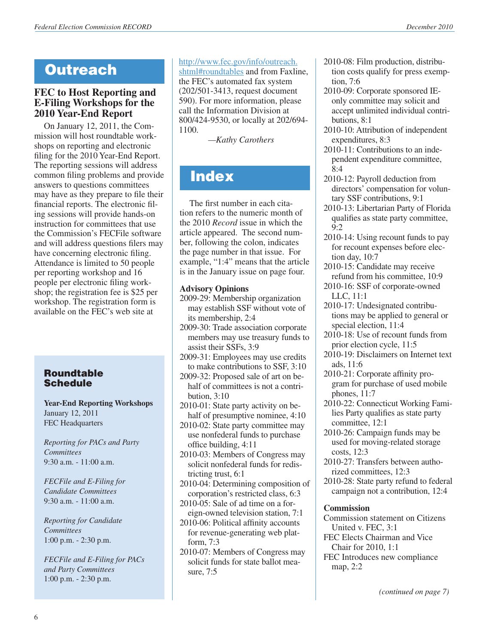# **Outreach**

#### **FEC to Host Reporting and E-Filing Workshops for the 2010 Year-End Report**

On January 12, 2011, the Commission will host roundtable workshops on reporting and electronic filing for the 2010 Year-End Report. The reporting sessions will address common filing problems and provide answers to questions committees may have as they prepare to file their financial reports. The electronic filing sessions will provide hands-on instruction for committees that use the Commission's FECFile software and will address questions filers may have concerning electronic filing. Attendance is limited to 50 people per reporting workshop and 16 people per electronic filing workshop; the registration fee is \$25 per workshop. The registration form is available on the FEC's web site at

#### Roundtable **Schedule**

**Year-End Reporting Workshops** January 12, 2011 FEC Headquarters

*Reporting for PACs and Party Committees* 9:30 a.m. - 11:00 a.m.

*FECFile and E-Filing for Candidate Committees* 9:30 a.m. - 11:00 a.m.

*Reporting for Candidate Committees* 1:00 p.m. - 2:30 p.m.

*FECFile and E-Filing for PACs and Party Committees* 1:00 p.m. - 2:30 p.m.

[http://www.fec.gov/info/outreach.](http://www.fec.gov/info/outreach.shtml#roundtables) [shtml#roundtables](http://www.fec.gov/info/outreach.shtml#roundtables) and from Faxline, the FEC's automated fax system (202/501-3413, request document 590). For more information, please call the Information Division at 800/424-9530, or locally at 202/694- 1100.

*—Kathy Carothers*

# **Index**

The first number in each citation refers to the numeric month of the 2010 *Record* issue in which the article appeared. The second number, following the colon, indicates the page number in that issue. For example, "1:4" means that the article is in the January issue on page four.

#### **Advisory Opinions**

- 2009-29: Membership organization may establish SSF without vote of its membership, 2:4
- 2009-30: Trade association corporate members may use treasury funds to assist their SSFs, 3:9
- 2009-31: Employees may use credits to make contributions to SSF, 3:10
- 2009-32: Proposed sale of art on behalf of committees is not a contribution, 3:10
- 2010-01: State party activity on behalf of presumptive nominee, 4:10
- 2010-02: State party committee may use nonfederal funds to purchase office building, 4:11
- 2010-03: Members of Congress may solicit nonfederal funds for redistricting trust, 6:1
- 2010-04: Determining composition of corporation's restricted class, 6:3
- 2010-05: Sale of ad time on a foreign-owned television station, 7:1
- 2010-06: Political affinity accounts for revenue-generating web platform, 7:3
- 2010-07: Members of Congress may solicit funds for state ballot measure, 7:5
- 2010-08: Film production, distribution costs qualify for press exemption, 7:6
- 2010-09: Corporate sponsored IEonly committee may solicit and accept unlimited individual contributions, 8:1
- 2010-10: Attribution of independent expenditures, 8:3
- 2010-11: Contributions to an independent expenditure committee, 8:4
- 2010-12: Payroll deduction from directors' compensation for voluntary SSF contributions, 9:1
- 2010-13: Libertarian Party of Florida qualifies as state party committee, 9:2
- 2010-14: Using recount funds to pay for recount expenses before election day, 10:7
- 2010-15: Candidate may receive refund from his committee, 10:9
- 2010-16: SSF of corporate-owned LLC, 11:1
- 2010-17: Undesignated contributions may be applied to general or special election, 11:4
- 2010-18: Use of recount funds from prior election cycle, 11:5
- 2010-19: Disclaimers on Internet text ads, 11:6
- 2010-21: Corporate affinity program for purchase of used mobile phones, 11:7
- 2010-22: Connecticut Working Families Party qualifies as state party committee, 12:1
- 2010-26: Campaign funds may be used for moving-related storage costs, 12:3
- 2010-27: Transfers between authorized committees, 12:3
- 2010-28: State party refund to federal campaign not a contribution, 12:4

#### **Commission**

- Commission statement on Citizens United v. FEC, 3:1
- FEC Elects Chairman and Vice Chair for 2010, 1:1
- FEC Introduces new compliance map, 2:2